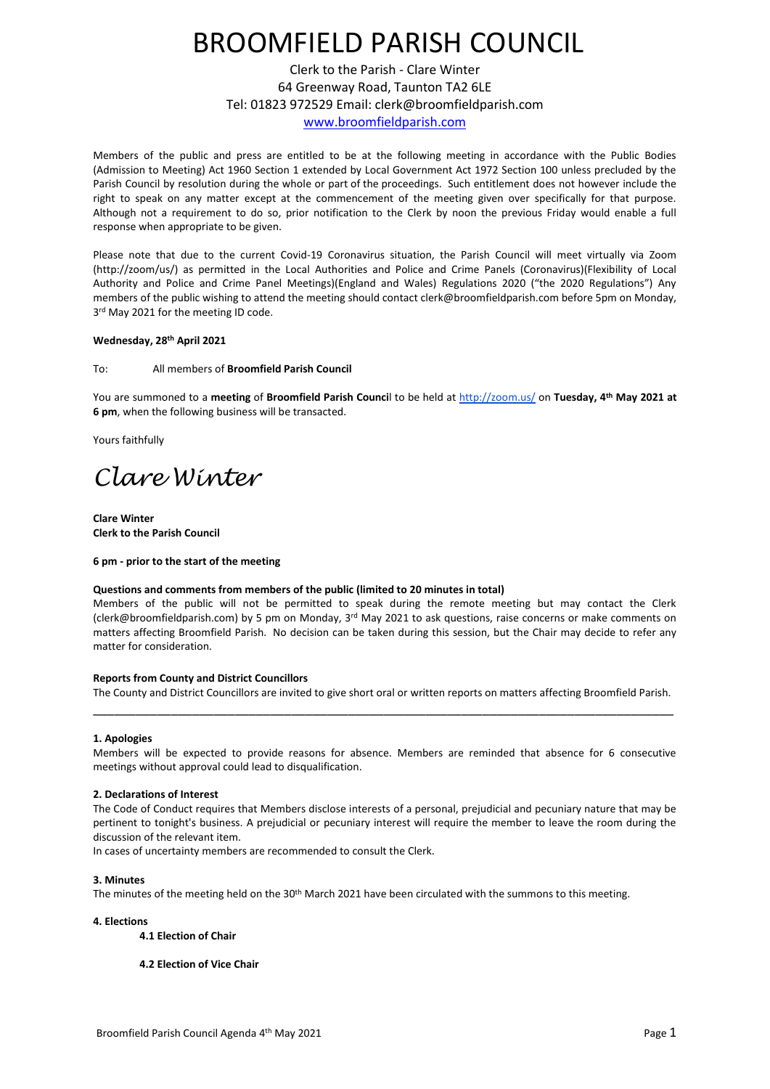# BROOMFIELD PARISH COUNCIL

Clerk to the Parish - Clare Winter 64 Greenway Road, Taunton TA2 6LE Tel: 01823 972529 Email: clerk@broomfieldparish.com [www.broomfieldparish.com](http://www.broomfieldparish.com/)

Members of the public and press are entitled to be at the following meeting in accordance with the Public Bodies (Admission to Meeting) Act 1960 Section 1 extended by Local Government Act 1972 Section 100 unless precluded by the Parish Council by resolution during the whole or part of the proceedings. Such entitlement does not however include the right to speak on any matter except at the commencement of the meeting given over specifically for that purpose. Although not a requirement to do so, prior notification to the Clerk by noon the previous Friday would enable a full response when appropriate to be given.

Please note that due to the current Covid-19 Coronavirus situation, the Parish Council will meet virtually via Zoom (http://zoom/us/) as permitted in the Local Authorities and Police and Crime Panels (Coronavirus)(Flexibility of Local Authority and Police and Crime Panel Meetings)(England and Wales) Regulations 2020 ("the 2020 Regulations") Any members of the public wishing to attend the meeting should contact clerk@broomfieldparish.com before 5pm on Monday, 3<sup>rd</sup> May 2021 for the meeting ID code.

# **Wednesday, 28th April 2021**

To: All members of **Broomfield Parish Council**

You are summoned to a **meeting** of **Broomfield Parish Counci**l to be held at<http://zoom.us/> on **Tuesday, 4 th May 2021 at 6 pm**, when the following business will be transacted.

Yours faithfully

*Clare Winter*

**Clare Winter Clerk to the Parish Council**

## **6 pm - prior to the start of the meeting**

## **Questions and comments from members of the public (limited to 20 minutes in total)**

Members of the public will not be permitted to speak during the remote meeting but may contact the Clerk (clerk@broomfieldparish.com) by 5 pm on Monday, 3<sup>rd</sup> May 2021 to ask questions, raise concerns or make comments on matters affecting Broomfield Parish. No decision can be taken during this session, but the Chair may decide to refer any matter for consideration.

## **Reports from County and District Councillors**

The County and District Councillors are invited to give short oral or written reports on matters affecting Broomfield Parish. \_\_\_\_\_\_\_\_\_\_\_\_\_\_\_\_\_\_\_\_\_\_\_\_\_\_\_\_\_\_\_\_\_\_\_\_\_\_\_\_\_\_\_\_\_\_\_\_\_\_\_\_\_\_\_\_\_\_\_\_\_\_\_\_\_\_\_\_\_\_\_\_\_\_\_\_\_\_\_\_\_\_

## **1. Apologies**

Members will be expected to provide reasons for absence. Members are reminded that absence for 6 consecutive meetings without approval could lead to disqualification.

## **2. Declarations of Interest**

The Code of Conduct requires that Members disclose interests of a personal, prejudicial and pecuniary nature that may be pertinent to tonight's business. A prejudicial or pecuniary interest will require the member to leave the room during the discussion of the relevant item.

In cases of uncertainty members are recommended to consult the Clerk.

## **3. Minutes**

The minutes of the meeting held on the 30th March 2021 have been circulated with the summons to this meeting.

## **4. Elections**

- **4.1 Election of Chair**
- **4.2 Election of Vice Chair**